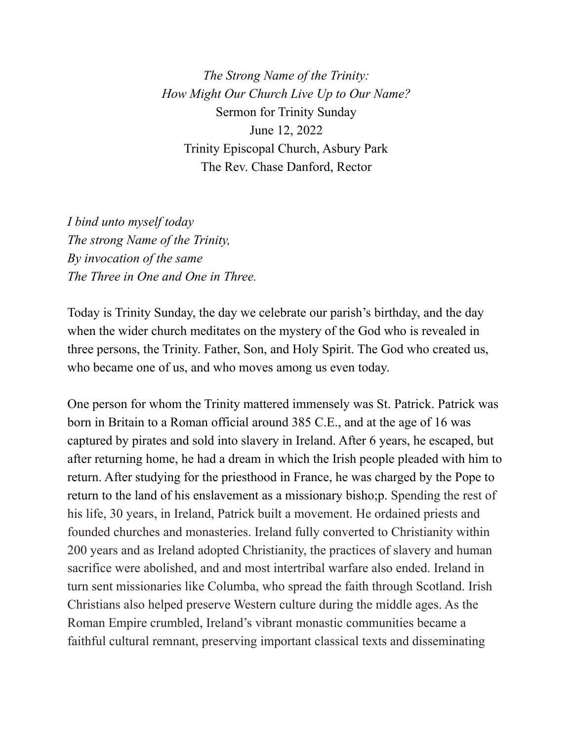*The Strong Name of the Trinity: How Might Our Church Live Up to Our Name?* Sermon for Trinity Sunday June 12, 2022 Trinity Episcopal Church, Asbury Park The Rev. Chase Danford, Rector

*I bind unto myself today The strong Name of the Trinity, By invocation of the same The Three in One and One in Three.*

Today is Trinity Sunday, the day we celebrate our parish's birthday, and the day when the wider church meditates on the mystery of the God who is revealed in three persons, the Trinity. Father, Son, and Holy Spirit. The God who created us, who became one of us, and who moves among us even today.

One person for whom the Trinity mattered immensely was St. Patrick. Patrick was born in Britain to a Roman official around 385 C.E., and at the age of 16 was captured by pirates and sold into slavery in Ireland. After 6 years, he escaped, but after returning home, he had a dream in which the Irish people pleaded with him to return. After studying for the priesthood in France, he was charged by the Pope to return to the land of his enslavement as a missionary bisho;p. Spending the rest of his life, 30 years, in Ireland, Patrick built a movement. He ordained priests and founded churches and monasteries. Ireland fully converted to Christianity within 200 years and as Ireland adopted Christianity, the practices of slavery and human sacrifice were abolished, and and most intertribal warfare also ended. Ireland in turn sent missionaries like Columba, who spread the faith through Scotland. Irish Christians also helped preserve Western culture during the middle ages. As the Roman Empire crumbled, Ireland's vibrant monastic communities became a faithful cultural remnant, preserving important classical texts and disseminating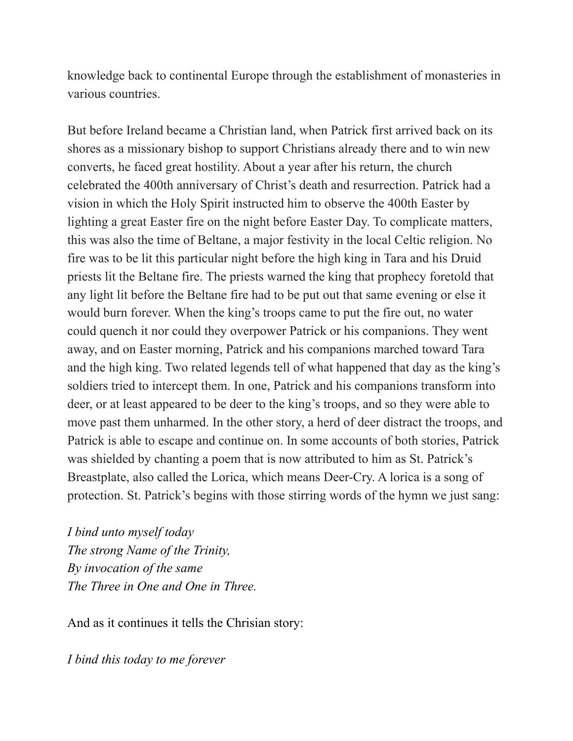knowledge back to continental Europe through the establishment of monasteries in various countries.

But before Ireland became a Christian land, when Patrick first arrived back on its shores as a missionary bishop to support Christians already there and to win new converts, he faced great hostility. About a year after his return, the church celebrated the 400th anniversary of Christ's death and resurrection. Patrick had a vision in which the Holy Spirit instructed him to observe the 400th Easter by lighting a great Easter fire on the night before Easter Day. To complicate matters, this was also the time of Beltane, a major festivity in the local Celtic religion. No fire was to be lit this particular night before the high king in Tara and his Druid priests lit the Beltane fire. The priests warned the king that prophecy foretold that any light lit before the Beltane fire had to be put out that same evening or else it would burn forever. When the king's troops came to put the fire out, no water could quench it nor could they overpower Patrick or his companions. They went away, and on Easter morning, Patrick and his companions marched toward Tara and the high king. Two related legends tell of what happened that day as the king's soldiers tried to intercept them. In one, Patrick and his companions transform into deer, or at least appeared to be deer to the king's troops, and so they were able to move past them unharmed. In the other story, a herd of deer distract the troops, and Patrick is able to escape and continue on. In some accounts of both stories, Patrick was shielded by chanting a poem that is now attributed to him as St. Patrick's Breastplate, also called the Lorica, which means Deer-Cry. A lorica is a song of protection. St. Patrick's begins with those stirring words of the hymn we just sang:

*I bind unto myself today The strong Name of the Trinity, By invocation of the same The Three in One and One in Three.*

And as it continues it tells the Chrisian story:

*I bind this today to me forever*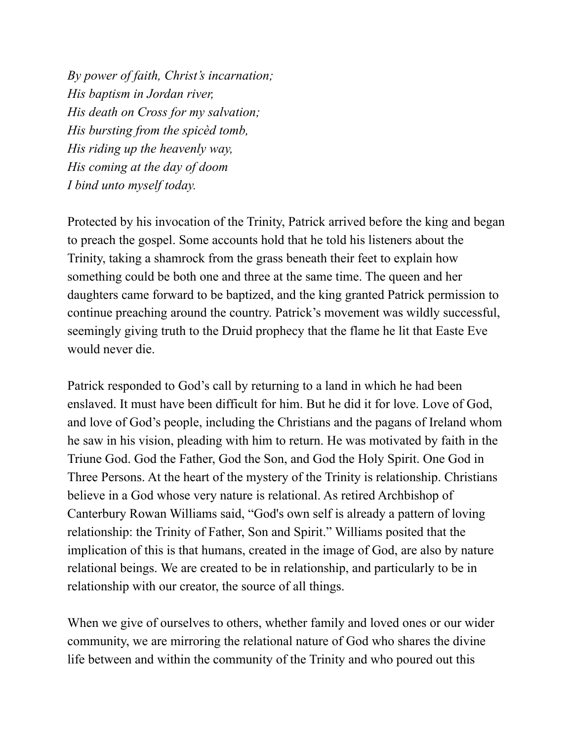*By power of faith, Christ's incarnation; His baptism in Jordan river, His death on Cross for my salvation; His bursting from the spicèd tomb, His riding up the heavenly way, His coming at the day of doom I bind unto myself today.*

Protected by his invocation of the Trinity, Patrick arrived before the king and began to preach the gospel. Some accounts hold that he told his listeners about the Trinity, taking a shamrock from the grass beneath their feet to explain how something could be both one and three at the same time. The queen and her daughters came forward to be baptized, and the king granted Patrick permission to continue preaching around the country. Patrick's movement was wildly successful, seemingly giving truth to the Druid prophecy that the flame he lit that Easte Eve would never die.

Patrick responded to God's call by returning to a land in which he had been enslaved. It must have been difficult for him. But he did it for love. Love of God, and love of God's people, including the Christians and the pagans of Ireland whom he saw in his vision, pleading with him to return. He was motivated by faith in the Triune God. God the Father, God the Son, and God the Holy Spirit. One God in Three Persons. At the heart of the mystery of the Trinity is relationship. Christians believe in a God whose very nature is relational. As retired Archbishop of Canterbury Rowan Williams said, "God's own self is already a pattern of loving relationship: the Trinity of Father, Son and Spirit." Williams posited that the implication of this is that humans, created in the image of God, are also by nature relational beings. We are created to be in relationship, and particularly to be in relationship with our creator, the source of all things.

When we give of ourselves to others, whether family and loved ones or our wider community, we are mirroring the relational nature of God who shares the divine life between and within the community of the Trinity and who poured out this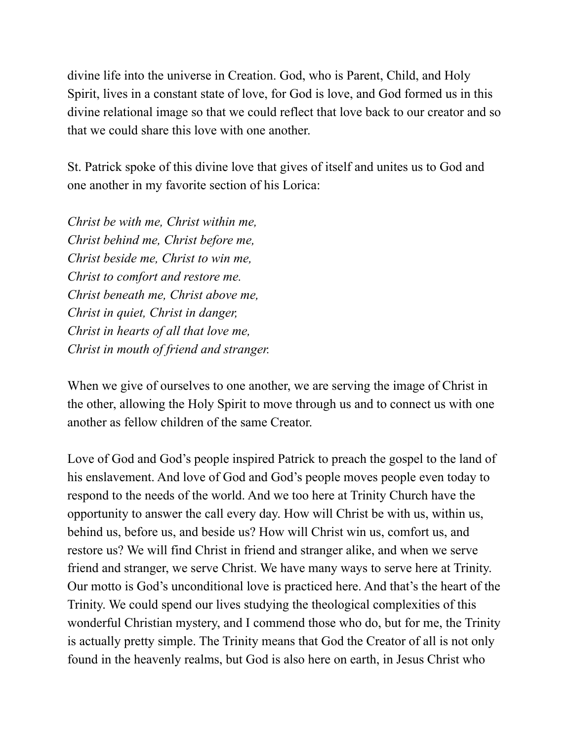divine life into the universe in Creation. God, who is Parent, Child, and Holy Spirit, lives in a constant state of love, for God is love, and God formed us in this divine relational image so that we could reflect that love back to our creator and so that we could share this love with one another.

St. Patrick spoke of this divine love that gives of itself and unites us to God and one another in my favorite section of his Lorica:

*Christ be with me, Christ within me, Christ behind me, Christ before me, Christ beside me, Christ to win me, Christ to comfort and restore me. Christ beneath me, Christ above me, Christ in quiet, Christ in danger, Christ in hearts of all that love me, Christ in mouth of friend and stranger.*

When we give of ourselves to one another, we are serving the image of Christ in the other, allowing the Holy Spirit to move through us and to connect us with one another as fellow children of the same Creator.

Love of God and God's people inspired Patrick to preach the gospel to the land of his enslavement. And love of God and God's people moves people even today to respond to the needs of the world. And we too here at Trinity Church have the opportunity to answer the call every day. How will Christ be with us, within us, behind us, before us, and beside us? How will Christ win us, comfort us, and restore us? We will find Christ in friend and stranger alike, and when we serve friend and stranger, we serve Christ. We have many ways to serve here at Trinity. Our motto is God's unconditional love is practiced here. And that's the heart of the Trinity. We could spend our lives studying the theological complexities of this wonderful Christian mystery, and I commend those who do, but for me, the Trinity is actually pretty simple. The Trinity means that God the Creator of all is not only found in the heavenly realms, but God is also here on earth, in Jesus Christ who